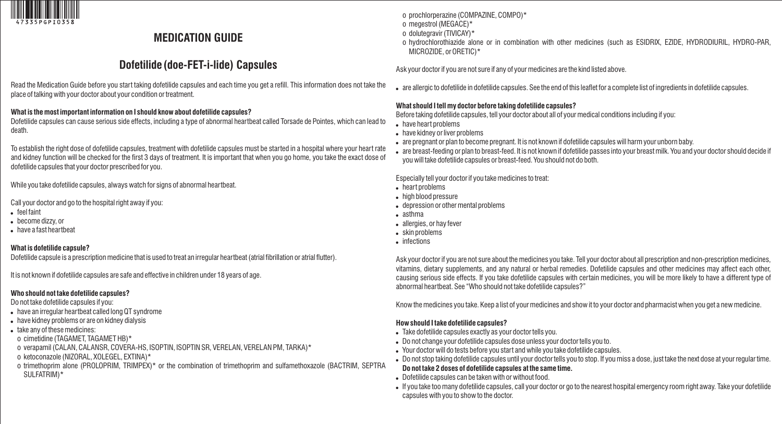

## **MEDICATION GUIDE**

# **Dofetilide (doe-FET-i-lide) Capsules**

Read the Medication Guide before you start taking dofetilide capsules and each time you get a refill. This information does not take the place of talking with your doctor about your condition or treatment.

#### **What is the most important information on I should know about dofetilide capsules?**

Dofetilide capsules can cause serious side effects, including a type of abnormal heartbeat called Torsade de Pointes, which can lead to death.

To establish the right dose of dofetilide capsules, treatment with dofetilide capsules must be started in a hospital where your heart rate and kidney function will be checked for the first 3 days of treatment. It is important that when you go home, you take the exact dose of dofetilide capsules that your doctor prescribed for you.

While you take dofetilide capsules, always watch for signs of abnormal heartbeat.

Call your doctor and go to the hospital right away if you:

- feel faint
- become dizzy, or
- have a fast heartbeat

### **What is dofetilide capsule?**

Dofetilide capsule is a prescription medicine that is used to treat an irregular heartbeat (atrial fibrillation or atrial flutter).

It is not known if dofetilide capsules are safe and effective in children under 18 years of age.

## **Who should not take dofetilide capsules?**

Do not take dofetilide capsules if you:

- have an irregular heartbeat called long QT syndrome
- have kidney problems or are on kidney dialysis
- take any of these medicines:
- o cimetidine (TAGAMET, TAGAMET HB)\*
- o verapamil (CALAN, CALANSR, COVERA-HS, ISOPTIN, ISOPTIN SR, VERELAN, VERELAN PM, TARKA)\*
- o ketoconazole (NIZORAL, XOLEGEL, EXTINA)\*
- o trimethoprim alone (PROLOPRIM, TRIMPEX)\* or the combination of trimethoprim and sulfamethoxazole (BACTRIM, SEPTRA SULFATRIM)\*
- o prochlorperazine (COMPAZINE, COMPO)\*
- o megestrol (MEGACE)\*
- o dolutegravir (TIVICAY)\*
- o hydrochlorothiazide alone or in combination with other medicines (such as ESIDRIX, EZIDE, HYDRODIURIL, HYDRO-PAR, MICROZIDE, or ORETIC)\*

Ask your doctor if you are not sure if any of your medicines are the kind listed above.

are allergic to dofetilide in dofetilide capsules. See the end of this leaflet for a complete list of ingredients in dofetilide capsules.

## **What should I tell my doctor before taking dofetilide capsules?**

Before taking dofetilide capsules, tell your doctor about all of your medical conditions including if you:

- have heart problems
- have kidney or liver problems
- are pregnant or plan to become pregnant. It is not known if dofetilide capsules will harm your unborn baby.
- are breast-feeding or plan to breast-feed. It is not known if dofetilide passes into your breast milk. You and your doctor should decide if you will take dofetilide capsules or breast-feed. You should not do both.

Especially tell your doctor if you take medicines to treat:

- heart problems
- high blood pressure
- depression or other mental problems
- asthma
- allergies, or hay fever
- skin problems
- infections

Ask your doctor if you are not sure about the medicines you take. Tell your doctor about all prescription and non-prescription medicines, vitamins, dietary supplements, and any natural or herbal remedies. Dofetilide capsules and other medicines may affect each other, causing serious side effects. If you take dofetilide capsules with certain medicines, you will be more likely to have a different type of abnormal heartbeat. See "Who should not take dofetilide capsules?"

Know the medicines you take. Keep a list of your medicines and show it to your doctor and pharmacist when you get a new medicine.

## **How should I take dofetilide capsules?**

- Take dofetilide capsules exactly as your doctor tells you.
- Do not change your dofetilide capsules dose unless your doctor tells you to.
- Your doctor will do tests before you start and while you take dofetilide capsules.
- Do not stop taking dofetilide capsules until your doctor tells you to stop. If you miss a dose, just take the next dose at your regular time. **Do not take 2 doses of dofetilide capsules at the same time.**
- Dofetilide capsules can be taken with or without food.
- If you take too many dofetilide capsules, call your doctor or go to the nearest hospital emergency room right away. Take your dofetilide capsules with you to show to the doctor.